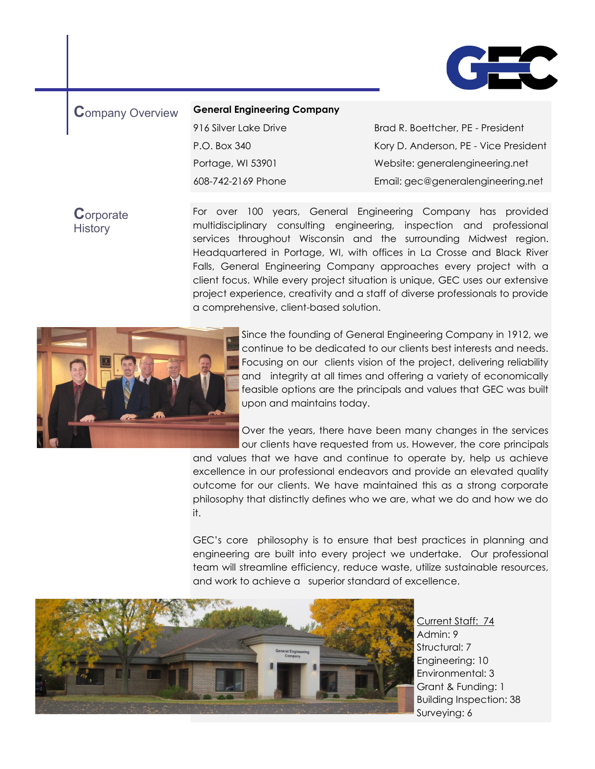

#### **C**ompany Overview **General Engineering Company**

916 Silver Lake Drive P.O. Box 340 Portage, WI 53901 608-742-2169 Phone

Brad R. Boettcher, PE - President Kory D. Anderson, PE - Vice President Website: [generalengineering.net](http://www.generalengineering.net)  Email: gec@generalengineering.net

**C**orporate **History** 

For over 100 years, General Engineering Company has provided multidisciplinary consulting engineering, inspection and professional services throughout Wisconsin and the surrounding Midwest region. Headquartered in Portage, WI, with offices in La Crosse and Black River Falls, General Engineering Company approaches every project with a client focus. While every project situation is unique, GEC uses our extensive project experience, creativity and a staff of diverse professionals to provide a comprehensive, client-based solution.



Since the founding of General Engineering Company in 1912, we continue to be dedicated to our clients best interests and needs. Focusing on our clients vision of the project, delivering reliability and integrity at all times and offering a variety of economically feasible options are the principals and values that GEC was built upon and maintains today.

Over the years, there have been many changes in the services our clients have requested from us. However, the core principals and values that we have and continue to operate by, help us achieve

excellence in our professional endeavors and provide an elevated quality outcome for our clients. We have maintained this as a strong corporate philosophy that distinctly defines who we are, what we do and how we do it.

GEC's core philosophy is to ensure that best practices in planning and engineering are built into every project we undertake. Our professional team will streamline efficiency, reduce waste, utilize sustainable resources, and work to achieve a superior standard of excellence.



Current Staff: 74 Admin: 9 Structural: 7 Engineering: 10 Environmental: 3 Grant & Funding: 1 Building Inspection: 38 Surveying: 6